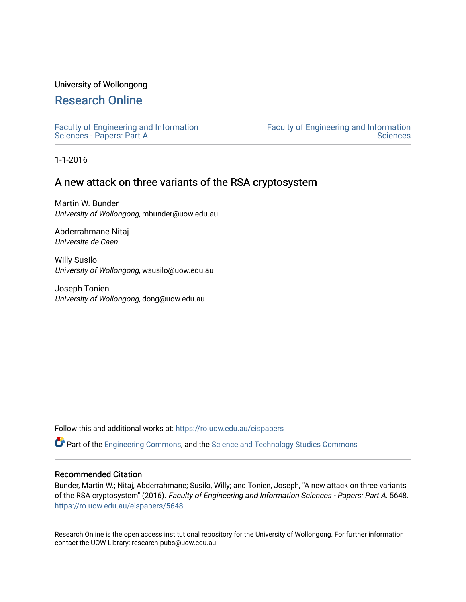## University of Wollongong

# [Research Online](https://ro.uow.edu.au/)

[Faculty of Engineering and Information](https://ro.uow.edu.au/eispapers)  [Sciences - Papers: Part A](https://ro.uow.edu.au/eispapers) 

[Faculty of Engineering and Information](https://ro.uow.edu.au/eis)  **Sciences** 

1-1-2016

# A new attack on three variants of the RSA cryptosystem

Martin W. Bunder University of Wollongong, mbunder@uow.edu.au

Abderrahmane Nitaj Universite de Caen

Willy Susilo University of Wollongong, wsusilo@uow.edu.au

Joseph Tonien University of Wollongong, dong@uow.edu.au

Follow this and additional works at: [https://ro.uow.edu.au/eispapers](https://ro.uow.edu.au/eispapers?utm_source=ro.uow.edu.au%2Feispapers%2F5648&utm_medium=PDF&utm_campaign=PDFCoverPages)

Part of the [Engineering Commons](http://network.bepress.com/hgg/discipline/217?utm_source=ro.uow.edu.au%2Feispapers%2F5648&utm_medium=PDF&utm_campaign=PDFCoverPages), and the [Science and Technology Studies Commons](http://network.bepress.com/hgg/discipline/435?utm_source=ro.uow.edu.au%2Feispapers%2F5648&utm_medium=PDF&utm_campaign=PDFCoverPages)

### Recommended Citation

Bunder, Martin W.; Nitaj, Abderrahmane; Susilo, Willy; and Tonien, Joseph, "A new attack on three variants of the RSA cryptosystem" (2016). Faculty of Engineering and Information Sciences - Papers: Part A. 5648. [https://ro.uow.edu.au/eispapers/5648](https://ro.uow.edu.au/eispapers/5648?utm_source=ro.uow.edu.au%2Feispapers%2F5648&utm_medium=PDF&utm_campaign=PDFCoverPages) 

Research Online is the open access institutional repository for the University of Wollongong. For further information contact the UOW Library: research-pubs@uow.edu.au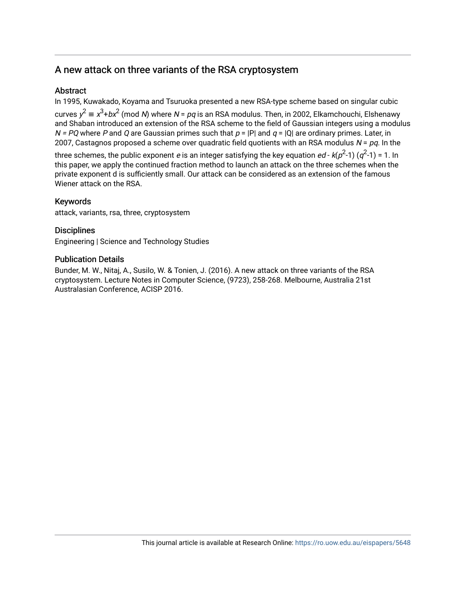# A new attack on three variants of the RSA cryptosystem

## Abstract

In 1995, Kuwakado, Koyama and Tsuruoka presented a new RSA-type scheme based on singular cubic curves  $y^2 \equiv x^3 + bx^2$  (mod *N*) where *N* = *pq* is an RSA modulus. Then, in 2002, Elkamchouchi, Elshenawy and Shaban introduced an extension of the RSA scheme to the field of Gaussian integers using a modulus  $N = PQ$  where P and Q are Gaussian primes such that  $p = |P|$  and  $q = |Q|$  are ordinary primes. Later, in 2007, Castagnos proposed a scheme over quadratic field quotients with an RSA modulus  $N = pq$ . In the

three schemes, the public exponent  $e$  is an integer satisfying the key equation  $ed$  -  $k(p^2$ -1) ( $q^2$ -1) = 1. In this paper, we apply the continued fraction method to launch an attack on the three schemes when the private exponent d is sufficiently small. Our attack can be considered as an extension of the famous Wiener attack on the RSA.

## Keywords

attack, variants, rsa, three, cryptosystem

## **Disciplines**

Engineering | Science and Technology Studies

## Publication Details

Bunder, M. W., Nitaj, A., Susilo, W. & Tonien, J. (2016). A new attack on three variants of the RSA cryptosystem. Lecture Notes in Computer Science, (9723), 258-268. Melbourne, Australia 21st Australasian Conference, ACISP 2016.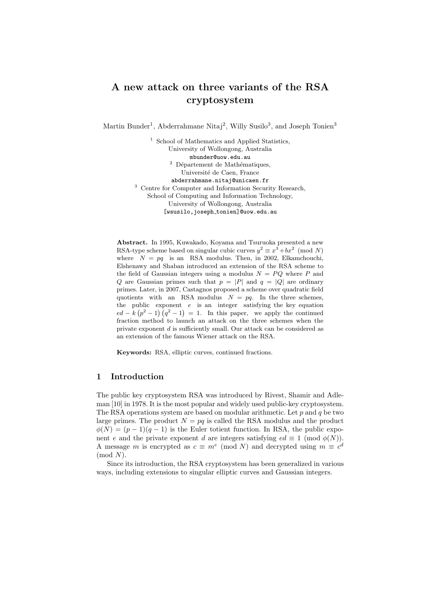# A new attack on three variants of the RSA cryptosystem

Martin Bunder<sup>1</sup>, Abderrahmane Nitaj<sup>2</sup>, Willy Susilo<sup>3</sup>, and Joseph Tonien<sup>3</sup>

<sup>1</sup> School of Mathematics and Applied Statistics, University of Wollongong, Australia mbunder@uow.edu.au  $^2$  Département de Mathématiques, Université de Caen, France abderrahmane.nitaj@unicaen.fr <sup>3</sup> Centre for Computer and Information Security Research, School of Computing and Information Technology, University of Wollongong, Australia [wsusilo,joseph tonien]@uow.edu.au

Abstract. In 1995, Kuwakado, Koyama and Tsuruoka presented a new RSA-type scheme based on singular cubic curves  $y^2 \equiv x^3 + bx^2 \pmod{N}$ where  $N = pq$  is an RSA modulus. Then, in 2002, Elkamchouchi, Elshenawy and Shaban introduced an extension of the RSA scheme to the field of Gaussian integers using a modulus  $N = PQ$  where P and Q are Gaussian primes such that  $p = |P|$  and  $q = |Q|$  are ordinary primes. Later, in 2007, Castagnos proposed a scheme over quadratic field quotients with an RSA modulus  $N = pq$ . In the three schemes, the public exponent  $e$  is an integer satisfying the key equation  $ed - k (p<sup>2</sup> - 1) (q<sup>2</sup> - 1) = 1$ . In this paper, we apply the continued fraction method to launch an attack on the three schemes when the private exponent d is sufficiently small. Our attack can be considered as an extension of the famous Wiener attack on the RSA.

Keywords: RSA, elliptic curves, continued fractions.

#### 1 Introduction

The public key cryptosystem RSA was introduced by Rivest, Shamir and Adleman [10] in 1978. It is the most popular and widely used public-key cryptosystem. The RSA operations system are based on modular arithmetic. Let  $p$  and  $q$  be two large primes. The product  $N = pq$  is called the RSA modulus and the product  $\phi(N) = (p-1)(q-1)$  is the Euler totient function. In RSA, the public exponent e and the private exponent d are integers satisfying  $ed \equiv 1 \pmod{\phi(N)}$ . A message m is encrypted as  $c \equiv m^e \pmod{N}$  and decrypted using  $m \equiv c^d$  $(mod N)$ .

Since its introduction, the RSA cryptosystem has been generalized in various ways, including extensions to singular elliptic curves and Gaussian integers.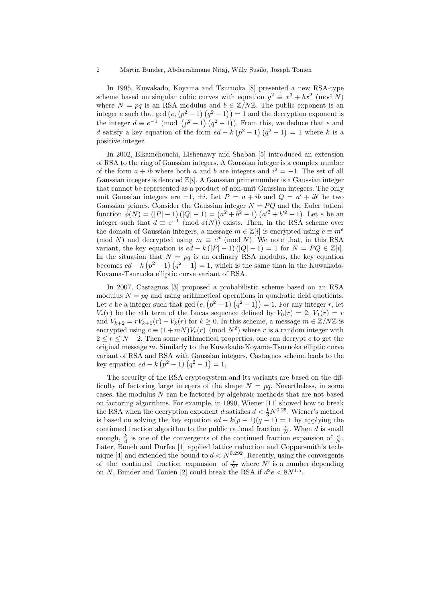In 1995, Kuwakado, Koyama and Tsuruoka [8] presented a new RSA-type scheme based on singular cubic curves with equation  $y^2 \equiv x^3 + bx^2 \pmod{N}$ where  $N = pq$  is an RSA modulus and  $b \in \mathbb{Z}/N\mathbb{Z}$ . The public exponent is an integer e such that gcd  $(e, (p^2 - 1) (q^2 - 1)) = 1$  and the decryption exponent is the integer  $d \equiv e^{-1} \pmod{(p^2-1)(q^2-1)}$ . From this, we deduce that e and d satisfy a key equation of the form  $ed - k(p^2 - 1)(q^2 - 1) = 1$  where k is a positive integer.

In 2002, Elkamchouchi, Elshenawy and Shaban [5] introduced an extension of RSA to the ring of Gaussian integers. A Gaussian integer is a complex number of the form  $a + ib$  where both a and b are integers and  $i^2 = -1$ . The set of all Gaussian integers is denoted  $\mathbb{Z}[i]$ . A Gaussian prime number is a Gaussian integer that cannot be represented as a product of non-unit Gaussian integers. The only unit Gaussian integers are  $\pm 1$ ,  $\pm i$ . Let  $P = a + ib$  and  $Q = a' + ib'$  be two Gaussian primes. Consider the Gaussian integer  $N = PQ$  and the Euler totient function  $\phi(N) = (|P|-1)(|Q|-1) = (a^2 + b^2 - 1)(a'^2 + b'^2 - 1)$ . Let e be an integer such that  $d \equiv e^{-1} \pmod{\phi(N)}$  exists. Then, in the RSA scheme over the domain of Gaussian integers, a message  $m \in \mathbb{Z}[i]$  is encrypted using  $c \equiv m^e$ (mod N) and decrypted using  $m \equiv c^d \pmod{N}$ . We note that, in this RSA variant, the key equation is  $ed - k(|P| - 1)(|Q| - 1) = 1$  for  $N = PQ \in \mathbb{Z}[i].$ In the situation that  $N = pq$  is an ordinary RSA modulus, the key equation becomes  $ed - k (p^2 - 1) (q^2 - 1) = 1$ , which is the same than in the Kuwakado-Koyama-Tsuruoka elliptic curve variant of RSA.

In 2007, Castagnos [3] proposed a probabilistic scheme based on an RSA modulus  $N = pq$  and using arithmetical operations in quadratic field quotients. Let e be a integer such that  $gcd(e, (p^2 - 1) (q^2 - 1)) = 1$ . For any integer r, let  $V_e(r)$  be the eth term of the Lucas sequence defined by  $V_0(r) = 2$ ,  $V_1(r) = r$ and  $V_{k+2} = rV_{k+1}(r) - V_k(r)$  for  $k \ge 0$ . In this scheme, a message  $m \in \mathbb{Z}/N\mathbb{Z}$  is encrypted using  $c \equiv (1 + mN)V_e(r) \pmod{N^2}$  where r is a random integer with  $2 \leq r \leq N-2$ . Then some arithmetical properties, one can decrypt c to get the original message m. Similarly to the Kuwakado-Koyama-Tsuruoka elliptic curve variant of RSA and RSA with Gaussian integers, Castagnos scheme leads to the key equation  $ed - k (p^2 - 1) (q^2 - 1) = 1$ .

The security of the RSA cryptosystem and its variants are based on the difficulty of factoring large integers of the shape  $N = pq$ . Nevertheless, in some cases, the modulus  $N$  can be factored by algebraic methods that are not based on factoring algorithms. For example, in 1990, Wiener [11] showed how to break the RSA when the decryption exponent d satisfies  $d < \frac{1}{3}N^{0.25}$ . Wiener's method is based on solving the key equation  $ed - k(p-1)(q-1) = 1$  by applying the continued fraction algorithm to the public rational fraction  $\frac{e}{N}$ . When d is small enough,  $\frac{k}{d}$  is one of the convergents of the continued fraction expansion of  $\frac{e}{N}$ . Later, Boneh and Durfee [1] applied lattice reduction and Coppersmith's technique [4] and extended the bound to  $d < N^{0.292}$ . Recently, using the convergents of the continued fraction expansion of  $\frac{e}{N'}$  where N' is a number depending on N, Bunder and Tonien [2] could break the RSA if  $d^2e < 8N^{1.5}$ .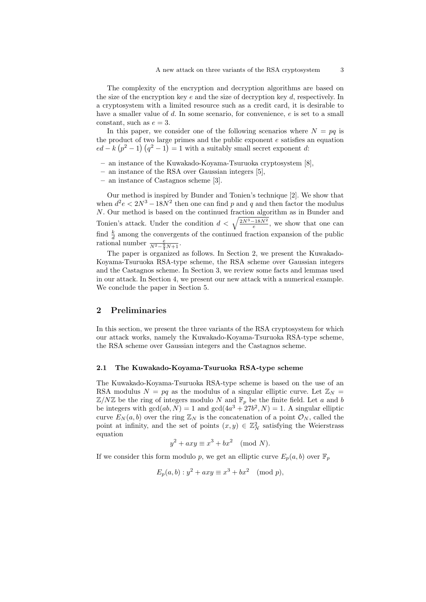The complexity of the encryption and decryption algorithms are based on the size of the encryption key  $e$  and the size of decryption key  $d$ , respectively. In a cryptosystem with a limited resource such as a credit card, it is desirable to have a smaller value of d. In some scenario, for convenience, e is set to a small constant, such as  $e = 3$ .

In this paper, we consider one of the following scenarios where  $N = pq$  is the product of two large primes and the public exponent  $e$  satisfies an equation  $ed - k (p<sup>2</sup> - 1) (q<sup>2</sup> - 1) = 1$  with a suitably small secret exponent d:

- an instance of the Kuwakado-Koyama-Tsuruoka cryptosystem [8],
- an instance of the RSA over Gaussian integers [5],
- an instance of Castagnos scheme [3].

Our method is inspired by Bunder and Tonien's technique [2]. We show that when  $d^2 e < 2N^3 - 18N^2$  then one can find p and q and then factor the modulus N. Our method is based on the continued fraction algorithm as in Bunder and Tonien's attack. Under the condition  $d < \sqrt{\frac{2N^3-18N^2}{e}}$ , we show that one can find  $\frac{k}{d}$  among the convergents of the continued fraction expansion of the public rational number  $\frac{e}{N^2-\frac{9}{4}N+1}$ .

The paper is organized as follows. In Section 2, we present the Kuwakado-Koyama-Tsuruoka RSA-type scheme, the RSA scheme over Gaussian integers and the Castagnos scheme. In Section 3, we review some facts and lemmas used in our attack. In Section 4, we present our new attack with a numerical example. We conclude the paper in Section 5.

#### 2 Preliminaries

In this section, we present the three variants of the RSA cryptosystem for which our attack works, namely the Kuwakado-Koyama-Tsuruoka RSA-type scheme, the RSA scheme over Gaussian integers and the Castagnos scheme.

#### 2.1 The Kuwakado-Koyama-Tsuruoka RSA-type scheme

The Kuwakado-Koyama-Tsuruoka RSA-type scheme is based on the use of an RSA modulus  $N = pq$  as the modulus of a singular elliptic curve. Let  $\mathbb{Z}_N =$  $\mathbb{Z}/N\mathbb{Z}$  be the ring of integers modulo N and  $\mathbb{F}_p$  be the finite field. Let a and b be integers with  $gcd(ab, N) = 1$  and  $gcd(4a^3 + 27b^2, N) = 1$ . A singular elliptic curve  $E_N(a, b)$  over the ring  $\mathbb{Z}_N$  is the concatenation of a point  $\mathcal{O}_N$ , called the point at infinity, and the set of points  $(x, y) \in \mathbb{Z}_N^2$  satisfying the Weierstrass equation

$$
y^2 + axy \equiv x^3 + bx^2 \pmod{N}.
$$

If we consider this form modulo p, we get an elliptic curve  $E_p(a, b)$  over  $\mathbb{F}_p$ 

$$
E_p(a, b) : y^2 + axy \equiv x^3 + bx^2 \pmod{p},
$$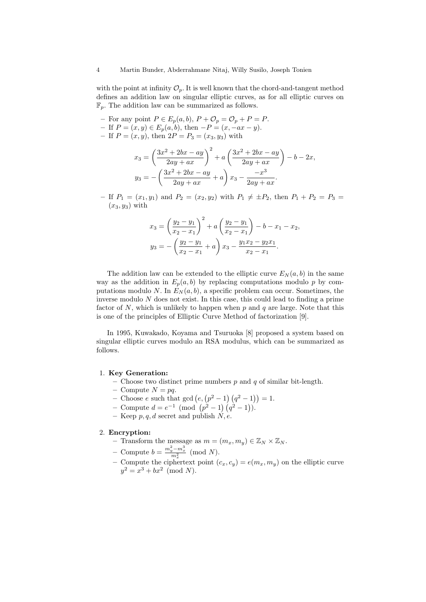with the point at infinity  $\mathcal{O}_p$ . It is well known that the chord-and-tangent method defines an addition law on singular elliptic curves, as for all elliptic curves on  $\mathbb{F}_p$ . The addition law can be summarized as follows.

- For any point  $P \in E_p(a, b)$ ,  $P + \mathcal{O}_p = \mathcal{O}_p + P = P$ .
- If  $P = (x, y) \in E_p(a, b)$ , then  $-P = (x, -ax y)$ . – If  $P = (x, y)$ , then  $2P = P_3 = (x_3, y_3)$  with

$$
x_3 = \left(\frac{3x^2 + 2bx - ay}{2ay + ax}\right)^2 + a\left(\frac{3x^2 + 2bx - ay}{2ay + ax}\right) - b - 2x,
$$
  

$$
y_3 = -\left(\frac{3x^2 + 2bx - ay}{2ay + ax} + a\right)x_3 - \frac{-x^3}{2ay + ax}.
$$

– If  $P_1 = (x_1, y_1)$  and  $P_2 = (x_2, y_2)$  with  $P_1 \neq \pm P_2$ , then  $P_1 + P_2 = P_3 =$  $(x_3, y_3)$  with

$$
x_3 = \left(\frac{y_2 - y_1}{x_2 - x_1}\right)^2 + a\left(\frac{y_2 - y_1}{x_2 - x_1}\right) - b - x_1 - x_2,
$$
  

$$
y_3 = -\left(\frac{y_2 - y_1}{x_2 - x_1} + a\right)x_3 - \frac{y_1x_2 - y_2x_1}{x_2 - x_1}.
$$

The addition law can be extended to the elliptic curve  $E_N(a, b)$  in the same way as the addition in  $E_p(a, b)$  by replacing computations modulo p by computations modulo N. In  $E_N(a, b)$ , a specific problem can occur. Sometimes, the inverse modulo N does not exist. In this case, this could lead to finding a prime factor of  $N$ , which is unlikely to happen when  $p$  and  $q$  are large. Note that this is one of the principles of Elliptic Curve Method of factorization [9].

In 1995, Kuwakado, Koyama and Tsuruoka [8] proposed a system based on singular elliptic curves modulo an RSA modulus, which can be summarized as follows.

#### 1. Key Generation:

- Choose two distinct prime numbers  $p$  and  $q$  of similar bit-length.
- Compute  $N = pq$ .
- Choose e such that  $gcd(e, (p^2 1) (q^2 1)) = 1$ .
- Compute  $d = e^{-1} \pmod{ (p^2 1) (q^2 1)}$ .
- Keep  $p, q, d$  secret and publish  $N, e$ .

#### 2. Encryption:

- Transform the message as  $m = (m_x, m_y) \in \mathbb{Z}_N \times \mathbb{Z}_N$ .
- Compute  $b = \frac{m_y^2 m_x^3}{m_x^2} \pmod{N}$ .
- Compute the ciphertext point  $(c_x, c_y) = e(m_x, m_y)$  on the elliptic curve  $y^2 = x^3 + bx^2 \pmod{N}.$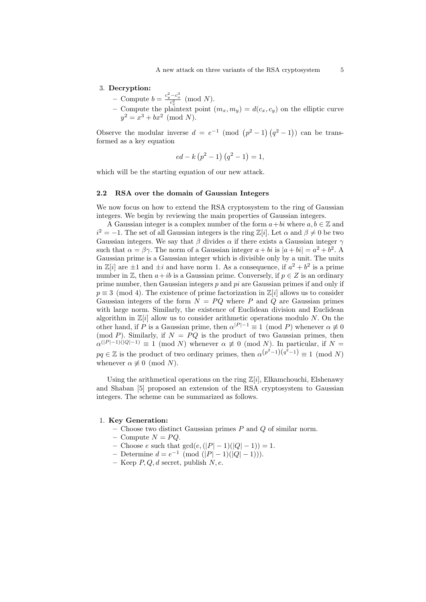#### 3. Decryption:

- − Compute  $b = \frac{c_y^2 c_x^3}{c_x^2} \pmod{N}$ .
- Compute the plaintext point  $(m_x, m_y) = d(c_x, c_y)$  on the elliptic curve  $y^2 = x^3 + bx^2 \pmod{N}.$

Observe the modular inverse  $d = e^{-1} \pmod{ (p^2-1) (q^2-1)}$  can be transformed as a key equation

$$
ed - k (p2 - 1) (q2 - 1) = 1,
$$

which will be the starting equation of our new attack.

#### 2.2 RSA over the domain of Gaussian Integers

We now focus on how to extend the RSA cryptosystem to the ring of Gaussian integers. We begin by reviewing the main properties of Gaussian integers.

A Gaussian integer is a complex number of the form  $a+bi$  where  $a, b \in \mathbb{Z}$  and  $i^2 = -1$ . The set of all Gaussian integers is the ring Z[i]. Let  $\alpha$  and  $\beta \neq 0$  be two Gaussian integers. We say that  $\beta$  divides  $\alpha$  if there exists a Gaussian integer  $\gamma$ such that  $\alpha = \beta \gamma$ . The norm of a Gaussian integer  $a + bi$  is  $|a + bi| = a^2 + b^2$ . A Gaussian prime is a Gaussian integer which is divisible only by a unit. The units in  $\mathbb{Z}[i]$  are  $\pm 1$  and  $\pm i$  and have norm 1. As a consequence, if  $a^2 + b^2$  is a prime number in Z, then  $a+ib$  is a Gaussian prime. Conversely, if  $p \in Z$  is an ordinary prime number, then Gaussian integers  $p$  and  $pi$  are Gaussian primes if and only if  $p \equiv 3 \pmod{4}$ . The existence of prime factorization in  $\mathbb{Z}[i]$  allows us to consider Gaussian integers of the form  $N = PQ$  where P and Q are Gaussian primes with large norm. Similarly, the existence of Euclidean division and Euclidean algorithm in  $\mathbb{Z}[i]$  allow us to consider arithmetic operations modulo N. On the other hand, if P is a Gaussian prime, then  $\alpha^{|P|-1} \equiv 1 \pmod{P}$  whenever  $\alpha \not\equiv 0$ (mod P). Similarly, if  $N = PQ$  is the product of two Gaussian primes, then  $\alpha^{(|P|-1)(|Q|-1)} \equiv 1 \pmod{N}$  whenever  $\alpha \not\equiv 0 \pmod{N}$ . In particular, if  $N =$  $pq \in \mathbb{Z}$  is the product of two ordinary primes, then  $\alpha^{(p^2-1)(q^2-1)} \equiv 1 \pmod{N}$ whenever  $\alpha \not\equiv 0 \pmod{N}$ .

Using the arithmetical operations on the ring  $\mathbb{Z}[i]$ , Elkamchouchi, Elshenawy and Shaban [5] proposed an extension of the RSA cryptosystem to Gaussian integers. The scheme can be summarized as follows.

#### 1. Key Generation:

- Choose two distinct Gaussian primes  $P$  and  $Q$  of similar norm.
- Compute  $N = PQ$ .
- Choose *e* such that  $gcd(e, (|P| − 1)(|Q| − 1)) = 1.$
- $-$  Determine  $d = e^{-1} \pmod{(|P| 1)(|Q| 1)}$ .
- Keep  $P, Q, d$  secret, publish  $N, e$ .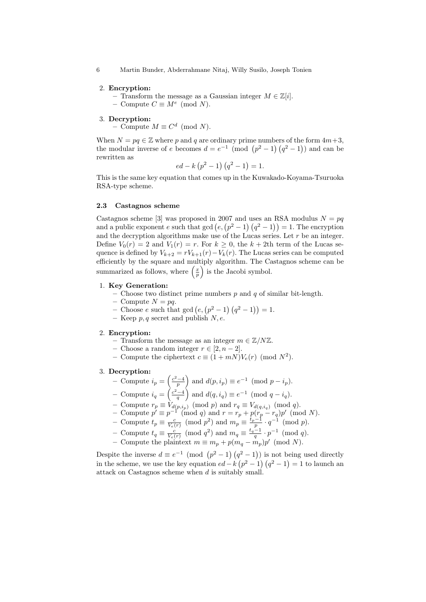6 Martin Bunder, Abderrahmane Nitaj, Willy Susilo, Joseph Tonien

#### 2. Encryption:

– Transform the message as a Gaussian integer  $M \in \mathbb{Z}[i].$ 

– Compute  $C \equiv M^e \pmod{N}$ .

#### 3. Decryption:

– Compute  $M \equiv C^d \pmod{N}$ .

When  $N = pq \in \mathbb{Z}$  where p and q are ordinary prime numbers of the form  $4m+3$ , the modular inverse of e becomes  $d = e^{-1} \pmod{p^2 - 1}(q^2 - 1)$  and can be rewritten as

$$
ed - k (p2 - 1) (q2 - 1) = 1.
$$

This is the same key equation that comes up in the Kuwakado-Koyama-Tsuruoka RSA-type scheme.

#### 2.3 Castagnos scheme

Castagnos scheme [3] was proposed in 2007 and uses an RSA modulus  $N = pq$ and a public exponent e such that  $gcd(e, (p^2-1), (q^2-1)) = 1$ . The encryption and the decryption algorithms make use of the Lucas series. Let  $r$  be an integer. Define  $V_0(r) = 2$  and  $V_1(r) = r$ . For  $k \geq 0$ , the  $k + 2$ th term of the Lucas sequence is defined by  $V_{k+2} = rV_{k+1}(r) - V_k(r)$ . The Lucas series can be computed efficiently by the square and multiply algorithm. The Castagnos scheme can be summarized as follows, where  $\left(\frac{x}{p}\right)$  is the Jacobi symbol.

#### 1. Key Generation:

– Choose two distinct prime numbers  $p$  and  $q$  of similar bit-length.

- Compute  $N = pq$ .
- Choose e such that  $gcd(e, (p^2 1) (q^2 1)) = 1$ .
- Keep  $p, q$  secret and publish  $N, e$ .

#### 2. Encryption:

- Transform the message as an integer  $m \in \mathbb{Z}/N\mathbb{Z}$ .
- Choose a random integer  $r \in [2, n-2]$ .
- Compute the ciphertext  $c \equiv (1 + mN)V_e(r) \pmod{N^2}$ .

#### 3. Decryption:

- Compute  $i_p = \left(\frac{c^2-4}{p}\right)$  and  $d(p, i_p) \equiv e^{-1} \pmod{p-i_p}$ .
- − Compute  $i_q = \left(\frac{c^2-4}{q}\right)$  and  $d(q, i_q) \equiv e^{-1} \pmod{q-i_q}$ .
- Compute  $r_p \equiv V_{d(p,i_p)} \pmod{p}$  and  $r_q \equiv V_{d(q,i_q)} \pmod{q}$ .
- − Compute  $p' \equiv p^{-1} \pmod{q}$  and  $r = r_p + p(r_p r_q)p' \pmod{N}$ .
- − Compute  $t_p \equiv \frac{c}{V_e(r)} \pmod{p^2}$  and  $m_p \equiv \frac{t_p-1}{p} \cdot q^{-1} \pmod{p}$ .
- Compute  $t_q \equiv \frac{c}{V_e(r)} \pmod{q^2}$  and  $m_q \equiv \frac{t_q-1}{q} \cdot p^{-1} \pmod{q}$ .
- Compute the plaintext  $m \equiv m_p + p(m_q m_p)p' \pmod{N}$ .

Despite the inverse  $d \equiv e^{-1} \pmod{ (p^2-1) (q^2-1)}$  is not being used directly in the scheme, we use the key equation  $ed - k(p^2 - 1)(q^2 - 1) = 1$  to launch an attack on Castagnos scheme when d is suitably small.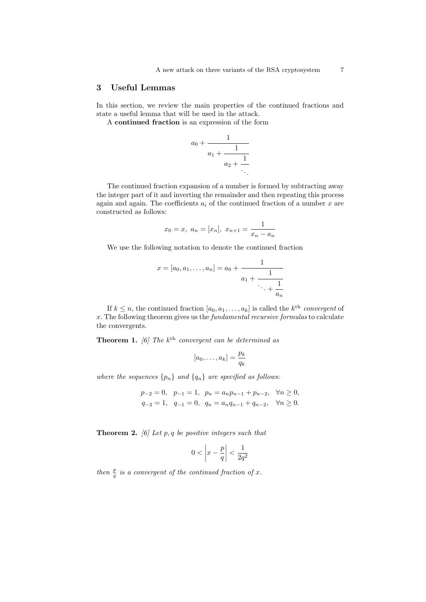### 3 Useful Lemmas

In this section, we review the main properties of the continued fractions and state a useful lemma that will be used in the attack.

A continued fraction is an expression of the form

 $a_0$ 

$$
+\cfrac{1}{a_1 + \cfrac{1}{a_2 + \cfrac{1}{\ddots}}}
$$

The continued fraction expansion of a number is formed by subtracting away the integer part of it and inverting the remainder and then repeating this process again and again. The coefficients  $a_i$  of the continued fraction of a number  $x$  are constructed as follows:

$$
x_0 = x
$$
,  $a_n = [x_n]$ ,  $x_{n+1} = \frac{1}{x_n - a_n}$ 

We use the following notation to denote the continued fraction

$$
x = [a_0, a_1, \dots, a_n] = a_0 + \cfrac{1}{a_1 + \cfrac{1}{\ddots + \cfrac{1}{a_n}}}
$$

If  $k \leq n$ , the continued fraction  $[a_0, a_1, \ldots, a_k]$  is called the  $k^{\text{th}}$  convergent of  $x$ . The following theorem gives us the *fundamental recursive formulas* to calculate the convergents.

**Theorem 1.** [6] The  $k^{\text{th}}$  convergent can be determined as

$$
[a_0,\ldots,a_k] = \frac{p_k}{q_k}
$$

where the sequences  $\{p_n\}$  and  $\{q_n\}$  are specified as follows:

$$
p_{-2} = 0
$$
,  $p_{-1} = 1$ ,  $p_n = a_n p_{n-1} + p_{n-2}$ ,  $\forall n \ge 0$ ,  
\n $q_{-2} = 1$ ,  $q_{-1} = 0$ ,  $q_n = a_n q_{n-1} + q_{n-2}$ ,  $\forall n \ge 0$ .

**Theorem 2.** [6] Let p, q be positive integers such that

$$
0 < \left| x - \frac{p}{q} \right| < \frac{1}{2q^2}
$$

then  $\frac{p}{q}$  is a convergent of the continued fraction of x.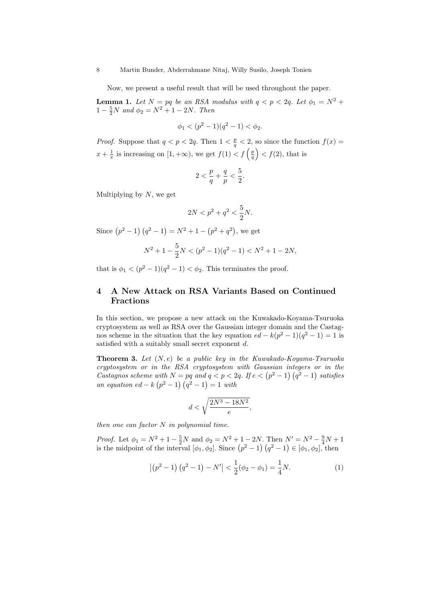Now, we present a useful result that will be used throughout the paper.

**Lemma 1.** Let  $N = pq$  be an RSA modulus with  $q < p < 2q$ . Let  $\phi_1 = N^2 +$  $1 - \frac{5}{2}N$  and  $\phi_2 = N^2 + 1 - 2N$ . Then

$$
\phi_1 < (p^2 - 1)(q^2 - 1) < \phi_2.
$$

*Proof.* Suppose that  $q < p < 2q$ . Then  $1 < \frac{p}{q} < 2$ , so since the function  $f(x) =$  $x + \frac{1}{x}$  is increasing on  $[1, +\infty)$ , we get  $f(1) < f\left(\frac{p}{q}\right) < f(2)$ , that is

$$
2<\frac{p}{q}+\frac{q}{p}<\frac{5}{2}.
$$

Multiplying by  $N$ , we get

$$
2N
$$

Since  $(p^2 - 1) (q^2 - 1) = N^2 + 1 - (p^2 + q^2)$ , we get

$$
N^2 + 1 - \frac{5}{2}N < (p^2 - 1)(q^2 - 1) < N^2 + 1 - 2N,
$$

that is  $\phi_1 < (p^2 - 1)(q^2 - 1) < \phi_2$ . This terminates the proof.

### 4 A New Attack on RSA Variants Based on Continued Fractions

In this section, we propose a new attack on the Kuwakado-Koyama-Tsuruoka cryptosystem as well as RSA over the Gaussian integer domain and the Castagnos scheme in the situation that the key equation  $ed - k(p^2 - 1)(q^2 - 1) = 1$  is satisfied with a suitably small secret exponent d.

**Theorem 3.** Let  $(N, e)$  be a public key in the Kuwakado-Koyama-Tsuruoka cryptosystem or in the RSA cryptosystem with Gaussian integers or in the Castagnos scheme with  $N = pq$  and  $q < p < 2q$ . If  $e < (p^2 - 1)(q^2 - 1)$  satisfies an equation  $ed - k (p^2 - 1) (q^2 - 1) = 1$  with

$$
d < \sqrt{\frac{2N^3 - 18N^2}{e}},
$$

then one can factor  $N$  in polynomial time.

*Proof.* Let  $\phi_1 = N^2 + 1 - \frac{5}{2}N$  and  $\phi_2 = N^2 + 1 - 2N$ . Then  $N' = N^2 - \frac{9}{4}N + 1$ is the midpoint of the interval  $[\phi_1, \phi_2]$ . Since  $(p^2 - 1)(q^2 - 1) \in [\phi_1, \phi_2]$ , then

$$
\left| \left( p^{2} - 1 \right) \left( q^{2} - 1 \right) - N' \right| < \frac{1}{2} \left( \phi_{2} - \phi_{1} \right) = \frac{1}{4} N. \tag{1}
$$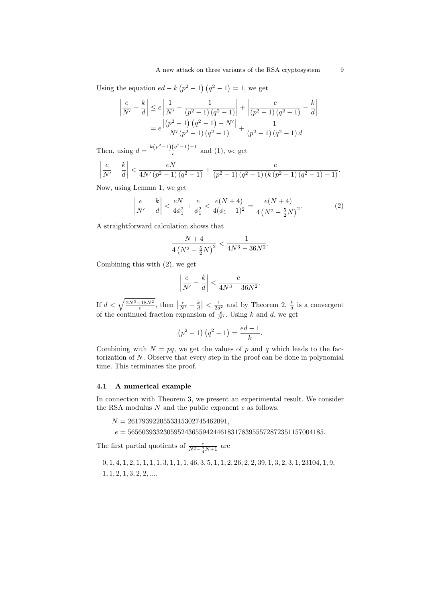Using the equation  $ed - k (p^2 - 1) (q^2 - 1) = 1$ , we get

$$
\left| \frac{e}{N'} - \frac{k}{d} \right| \le e \left| \frac{1}{N'} - \frac{1}{(p^2 - 1)(q^2 - 1)} \right| + \left| \frac{e}{(p^2 - 1)(q^2 - 1)} - \frac{k}{d} \right|
$$

$$
= e \frac{\left| \left( p^2 - 1 \right) \left( q^2 - 1 \right) - N' \right|}{N' \left( p^2 - 1 \right) \left( q^2 - 1 \right)} + \frac{1}{(p^2 - 1)(q^2 - 1)d}
$$

Then, using  $d = \frac{k(p^2-1)(q^2-1)+1}{q^2}$  $\frac{(q-1)+1}{e}$  and (1), we get

$$
\left| \frac{e}{N'} - \frac{k}{d} \right| < \frac{eN}{4N'\left(p^2 - 1\right)\left(q^2 - 1\right)} + \frac{e}{\left(p^2 - 1\right)\left(q^2 - 1\right)\left(k\left(p^2 - 1\right)\left(q^2 - 1\right) + 1\right)}.
$$

Now, using Lemma 1, we get

$$
\left|\frac{e}{N'} - \frac{k}{d}\right| < \frac{eN}{4\phi_1^2} + \frac{e}{\phi_1^2} < \frac{e(N+4)}{4(\phi_1 - 1)^2} = \frac{e(N+4)}{4\left(N^2 - \frac{5}{2}N\right)^2}.\tag{2}
$$

A straightforward calculation shows that

$$
\frac{N+4}{4\left(N^2 - \frac{5}{2}N\right)^2} < \frac{1}{4N^3 - 36N^2}.
$$

Combining this with (2), we get

$$
\left|\frac{e}{N'}-\frac{k}{d}\right|<\frac{e}{4N^3-36N^2}.
$$

If  $d < \sqrt{\frac{2N^3 - 18N^2}{e}}$ , then  $\left|\frac{e}{N'} - \frac{k}{d}\right| < \frac{1}{2d^2}$  and by Theorem 2,  $\frac{k}{d}$  is a convergent of the continued fraction expansion of  $\frac{e}{N'}$ . Using k and d, we get

$$
(p^2 - 1) (q^2 - 1) = \frac{ed - 1}{k}.
$$

Combining with  $N = pq$ , we get the values of p and q which leads to the factorization of  $N$ . Observe that every step in the proof can be done in polynomial time. This terminates the proof.

### 4.1 A numerical example

In connection with Theorem 3, we present an experimental result. We consider the RSA modulus  $N$  and the public exponent  $e$  as follows.

 $N = 2617939220553315302745462091$ 

 $e = 5656039332305952436559424461831783955572872351157004185.$ 

The first partial quotients of  $\frac{e}{N^2 - \frac{9}{4}N + 1}$  are

0, 1, 4, 1, 2, 1, 1, 1, 1, 3, 1, 1, 1, 46, 3, 5, 1, 1, 2, 26, 2, 2, 39, 1, 3, 2, 3, 1, 23104, 1, 9,  $1, 1, 2, 1, 3, 2, 2, \ldots$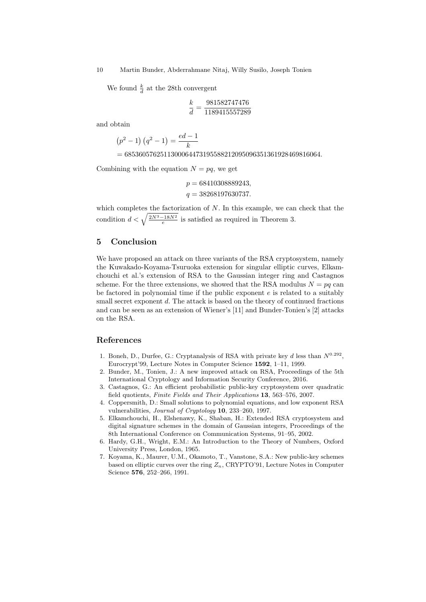10 Martin Bunder, Abderrahmane Nitaj, Willy Susilo, Joseph Tonien

We found  $\frac{k}{d}$  at the 28th convergent

$$
\frac{k}{d} = \frac{981582747476}{1189415557289}
$$

and obtain

$$
(p^{2} - 1) (q^{2} - 1) = \frac{ed - 1}{k}
$$

 $= 6853605762511300064473195588212095096351361928469816064.$ 

Combining with the equation  $N = pq$ , we get

$$
p = 68410308889243,
$$
  

$$
q = 38268197630737.
$$

which completes the factorization of  $N$ . In this example, we can check that the condition  $d < \sqrt{\frac{2N^3 - 18N^2}{e}}$  is satisfied as required in Theorem 3.

### 5 Conclusion

We have proposed an attack on three variants of the RSA cryptosystem, namely the Kuwakado-Koyama-Tsuruoka extension for singular elliptic curves, Elkamchouchi et al.'s extension of RSA to the Gaussian integer ring and Castagnos scheme. For the three extensions, we showed that the RSA modulus  $N = pq$  can be factored in polynomial time if the public exponent  $e$  is related to a suitably small secret exponent d. The attack is based on the theory of continued fractions and can be seen as an extension of Wiener's [11] and Bunder-Tonien's [2] attacks on the RSA.

### References

- 1. Boneh, D., Durfee, G.: Cryptanalysis of RSA with private key d less than  $N^{0.292}$ , Eurocrypt'99, Lecture Notes in Computer Science 1592, 1–11, 1999.
- 2. Bunder, M., Tonien, J.: A new improved attack on RSA, Proceedings of the 5th International Cryptology and Information Security Conference, 2016.
- 3. Castagnos, G.: An efficient probabilistic public-key cryptosystem over quadratic field quotients, Finite Fields and Their Applications 13, 563–576, 2007.
- 4. Coppersmith, D.: Small solutions to polynomial equations, and low exponent RSA vulnerabilities, Journal of Cryptology 10, 233–260, 1997.
- 5. Elkamchouchi, H., Elshenawy, K., Shaban, H.: Extended RSA cryptosystem and digital signature schemes in the domain of Gaussian integers, Proceedings of the 8th International Conference on Communication Systems, 91–95, 2002.
- 6. Hardy, G.H., Wright, E.M.: An Introduction to the Theory of Numbers, Oxford University Press, London, 1965.
- 7. Koyama, K., Maurer, U.M., Okamoto, T., Vanstone, S.A.: New public-key schemes based on elliptic curves over the ring  $Z_n$ , CRYPTO'91, Lecture Notes in Computer Science 576, 252–266, 1991.